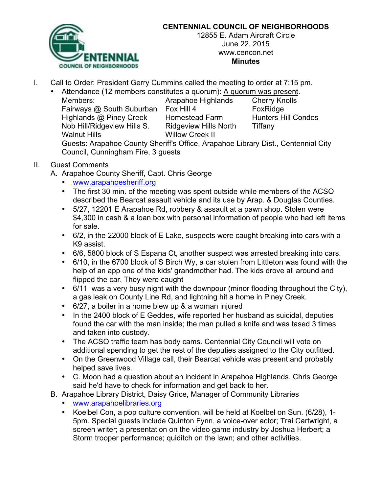

## **CENTENNIAL COUNCIL OF NEIGHBORHOODS**

12855 E. Adam Aircraft Circle June 22, 2015 www.cencon.net **Minutes**

- I. Call to Order: President Gerry Cummins called the meeting to order at 7:15 pm.
	- Attendance (12 members constitutes a quorum): A quorum was present.
		- Members: Arapahoe Highlands Cherry Knolls Fairways @ South Suburban Fox Hill 4 FoxRidge Highlands @ Piney Creek Homestead Farm Hunters Hill Condos Nob Hill/Ridgeview Hills S. Ridgeview Hills North Tiffany

Willow Creek II

Guests: Arapahoe County Sheriff's Office, Arapahoe Library Dist., Centennial City Council, Cunningham Fire, 3 guests

## II. Guest Comments

- A. Arapahoe County Sheriff, Capt. Chris George
	- www.arapahoesheriff.org
	- The first 30 min. of the meeting was spent outside while members of the ACSO described the Bearcat assault vehicle and its use by Arap. & Douglas Counties.
	- 5/27, 12201 E Arapahoe Rd, robbery & assault at a pawn shop. Stolen were \$4,300 in cash & a loan box with personal information of people who had left items for sale.
	- 6/2, in the 22000 block of E Lake, suspects were caught breaking into cars with a K9 assist.
	- 6/6, 5800 block of S Espana Ct, another suspect was arrested breaking into cars.
	- 6/10, in the 6700 block of S Birch Wy, a car stolen from Littleton was found with the help of an app one of the kids' grandmother had. The kids drove all around and flipped the car. They were caught
	- 6/11 was a very busy night with the downpour (minor flooding throughout the City), a gas leak on County Line Rd, and lightning hit a home in Piney Creek.
	- 6/27, a boiler in a home blew up & a woman injured
	- In the 2400 block of E Geddes, wife reported her husband as suicidal, deputies found the car with the man inside; the man pulled a knife and was tased 3 times and taken into custody.
	- The ACSO traffic team has body cams. Centennial City Council will vote on additional spending to get the rest of the deputies assigned to the City outfitted.
	- On the Greenwood Village call, their Bearcat vehicle was present and probably helped save lives.
	- C. Moon had a question about an incident in Arapahoe Highlands. Chris George said he'd have to check for information and get back to her.
- B. Arapahoe Library District, Daisy Grice, Manager of Community Libraries
	- www.arapahoelibraries.org
	- Koelbel Con, a pop culture convention, will be held at Koelbel on Sun. (6/28), 1- 5pm. Special guests include Quinton Fynn, a voice-over actor; Trai Cartwright, a screen writer; a presentation on the video game industry by Joshua Herbert; a Storm trooper performance; quiditch on the lawn; and other activities.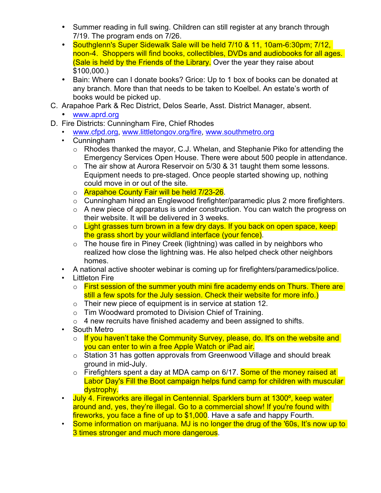- Summer reading in full swing. Children can still register at any branch through 7/19. The program ends on 7/26.
- Southglenn's Super Sidewalk Sale will be held 7/10 & 11, 10am-6:30pm; 7/12, noon-4. Shoppers will find books, collectibles, DVDs and audiobooks for all ages. (Sale is held by the Friends of the Library. Over the year they raise about \$100,000.)
- Bain: Where can I donate books? Grice: Up to 1 box of books can be donated at any branch. More than that needs to be taken to Koelbel. An estate's worth of books would be picked up.
- C. Arapahoe Park & Rec District, Delos Searle, Asst. District Manager, absent.
	- www.aprd.org
- D. Fire Districts: Cunningham Fire, Chief Rhodes
	- www.cfpd.org, www.littletongov.org/fire, www.southmetro.org
	- Cunningham
		- $\circ$  Rhodes thanked the mayor, C.J. Whelan, and Stephanie Piko for attending the Emergency Services Open House. There were about 500 people in attendance.
		- o The air show at Aurora Reservoir on 5/30 & 31 taught them some lessons. Equipment needs to pre-staged. Once people started showing up, nothing could move in or out of the site.
		- o **Arapahoe County Fair will be held 7/23-26.**
		- $\circ$  Cunningham hired an Englewood firefighter/paramedic plus 2 more firefighters.
		- $\circ$  A new piece of apparatus is under construction. You can watch the progress on their website. It will be delivered in 3 weeks.
		- o Light grasses turn brown in a few dry days. If you back on open space, keep the grass short by your wildland interface (your fence).
		- o The house fire in Piney Creek (lightning) was called in by neighbors who realized how close the lightning was. He also helped check other neighbors homes.
	- A national active shooter webinar is coming up for firefighters/paramedics/police.
	- **Littleton Fire** 
		- $\circ$  First session of the summer youth mini fire academy ends on Thurs. There are still a few spots for the July session. Check their website for more info.)
		- $\circ$  Their new piece of equipment is in service at station 12.
		- o Tim Woodward promoted to Division Chief of Training.
		- $\circ$  4 new recruits have finished academy and been assigned to shifts.
	- South Metro
		- o If you haven't take the Community Survey, please, do. It's on the website and you can enter to win a free Apple Watch or iPad air.
		- o Station 31 has gotten approvals from Greenwood Village and should break ground in mid-July.
		- $\circ$  Firefighters spent a day at MDA camp on 6/17. Some of the money raised at Labor Day's Fill the Boot campaign helps fund camp for children with muscular dystrophy.
	- July 4. Fireworks are illegal in Centennial. Sparklers burn at 1300°, keep water around and, yes, they're illegal. Go to a commercial show! If you're found with fireworks, you face a fine of up to \$1,000. Have a safe and happy Fourth.
	- Some information on marijuana. MJ is no longer the drug of the '60s, It's now up to 3 times stronger and much more dangerous.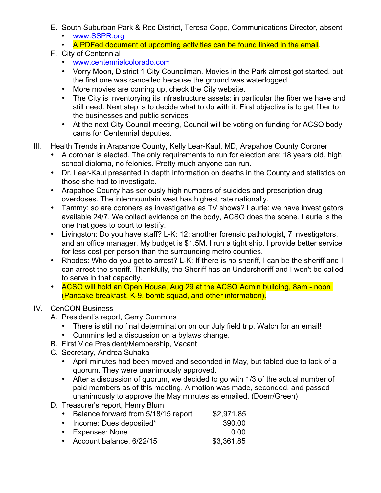- E. South Suburban Park & Rec District, Teresa Cope, Communications Director, absent
	- www.SSPR.org
	- A PDFed document of upcoming activities can be found linked in the email.
- F. City of Centennial
	- www.centennialcolorado.com
	- Vorry Moon, District 1 City Councilman. Movies in the Park almost got started, but the first one was cancelled because the ground was waterlogged.
	- More movies are coming up, check the City website.
	- The City is inventorying its infrastructure assets: in particular the fiber we have and still need. Next step is to decide what to do with it. First objective is to get fiber to the businesses and public services
	- At the next City Council meeting, Council will be voting on funding for ACSO body cams for Centennial deputies.
- III. Health Trends in Arapahoe County, Kelly Lear-Kaul, MD, Arapahoe County Coroner
	- A coroner is elected. The only requirements to run for election are: 18 years old, high school diploma, no felonies. Pretty much anyone can run.
	- Dr. Lear-Kaul presented in depth information on deaths in the County and statistics on those she had to investigate.
	- Arapahoe County has seriously high numbers of suicides and prescription drug overdoses. The intermountain west has highest rate nationally.
	- Tammy: so are coroners as investigative as TV shows? Laurie: we have investigators available 24/7. We collect evidence on the body, ACSO does the scene. Laurie is the one that goes to court to testify.
	- Livingston: Do you have staff? L-K: 12: another forensic pathologist, 7 investigators, and an office manager. My budget is \$1.5M. I run a tight ship. I provide better service for less cost per person than the surrounding metro counties.
	- Rhodes: Who do you get to arrest? L-K: If there is no sheriff, I can be the sheriff and I can arrest the sheriff. Thankfully, the Sheriff has an Undersheriff and I won't be called to serve in that capacity.
	- ACSO will hold an Open House, Aug 29 at the ACSO Admin building, 8am noon (Pancake breakfast, K-9, bomb squad, and other information).
- IV. CenCON Business
	- A. President's report, Gerry Cummins
		- There is still no final determination on our July field trip. Watch for an email!
		- Cummins led a discussion on a bylaws change.
	- B. First Vice President/Membership, Vacant
	- C. Secretary, Andrea Suhaka
		- April minutes had been moved and seconded in May, but tabled due to lack of a quorum. They were unanimously approved.
		- After a discussion of quorum, we decided to go with 1/3 of the actual number of paid members as of this meeting. A motion was made, seconded, and passed unanimously to approve the May minutes as emailed. (Doerr/Green)
	- D. Treasurer's report, Henry Blum

| • Balance forward from 5/18/15 report | \$2,971.85 |
|---------------------------------------|------------|
| • Income: Dues deposited*             | 390.00     |
| • Expenses: None.                     | 0.00       |
| • Account balance, 6/22/15            | \$3,361.85 |